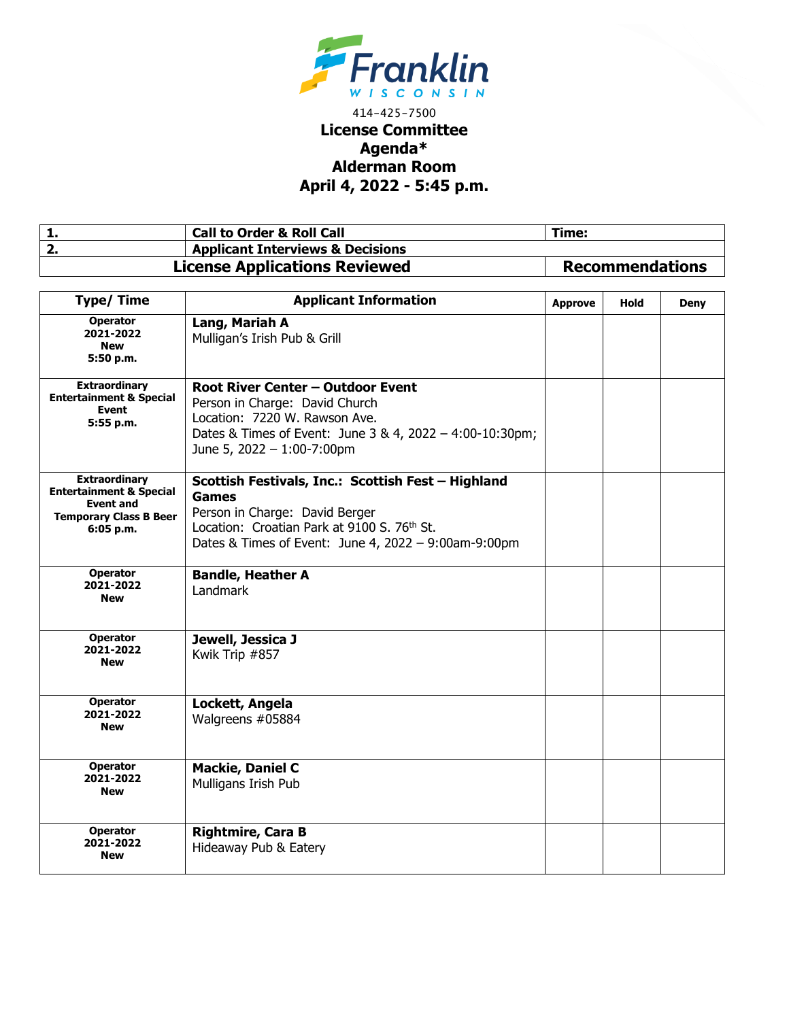

## 414-425-7500 **License Committee Agenda\* Alderman Room April 4, 2022 - 5:45 p.m.**

| . . | <b>Call to Order &amp; Roll Call</b>        | Time:                  |
|-----|---------------------------------------------|------------------------|
|     | <b>Applicant Interviews &amp; Decisions</b> |                        |
|     | <b>License Applications Reviewed</b>        | <b>Recommendations</b> |

| <b>Type/Time</b>                                                                                                             | <b>Applicant Information</b>                                                                                                                                                                                | <b>Approve</b> | Hold | <b>Deny</b> |
|------------------------------------------------------------------------------------------------------------------------------|-------------------------------------------------------------------------------------------------------------------------------------------------------------------------------------------------------------|----------------|------|-------------|
| <b>Operator</b><br>2021-2022<br><b>New</b><br>5:50 p.m.                                                                      | Lang, Mariah A<br>Mulligan's Irish Pub & Grill                                                                                                                                                              |                |      |             |
| <b>Extraordinary</b><br><b>Entertainment &amp; Special</b><br>Event<br>5:55 p.m.                                             | <b>Root River Center - Outdoor Event</b><br>Person in Charge: David Church<br>Location: 7220 W. Rawson Ave.<br>Dates & Times of Event: June 3 & 4, 2022 - 4:00-10:30pm;<br>June 5, 2022 - 1:00-7:00pm       |                |      |             |
| <b>Extraordinary</b><br><b>Entertainment &amp; Special</b><br><b>Event and</b><br><b>Temporary Class B Beer</b><br>6:05 p.m. | Scottish Festivals, Inc.: Scottish Fest - Highland<br><b>Games</b><br>Person in Charge: David Berger<br>Location: Croatian Park at 9100 S. 76th St.<br>Dates & Times of Event: June 4, 2022 - 9:00am-9:00pm |                |      |             |
| <b>Operator</b><br>2021-2022<br><b>New</b>                                                                                   | <b>Bandle, Heather A</b><br>Landmark                                                                                                                                                                        |                |      |             |
| <b>Operator</b><br>2021-2022<br><b>New</b>                                                                                   | Jewell, Jessica J<br>Kwik Trip #857                                                                                                                                                                         |                |      |             |
| <b>Operator</b><br>2021-2022<br><b>New</b>                                                                                   | Lockett, Angela<br>Walgreens #05884                                                                                                                                                                         |                |      |             |
| <b>Operator</b><br>2021-2022<br><b>New</b>                                                                                   | <b>Mackie, Daniel C</b><br>Mulligans Irish Pub                                                                                                                                                              |                |      |             |
| <b>Operator</b><br>2021-2022<br><b>New</b>                                                                                   | <b>Rightmire, Cara B</b><br>Hideaway Pub & Eatery                                                                                                                                                           |                |      |             |